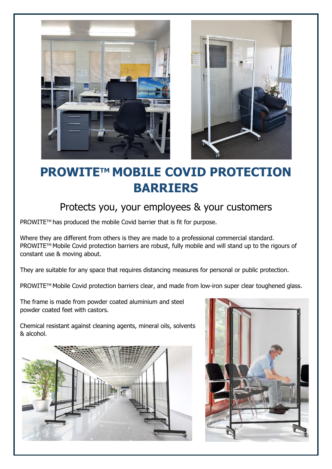



# **PROWITE™ MOBILE COVID PROTECTION BARRIERS**

## Protects you, your employees & your customers

PROWITE™ has produced the mobile Covid barrier that is fit for purpose.

Where they are different from others is they are made to a professional commercial standard. PROWITE™ Mobile Covid protection barriers are robust, fully mobile and will stand up to the rigours of constant use & moving about.

They are suitable for any space that requires distancing measures for personal or public protection.

PROWITE™ Mobile Covid protection barriers clear, and made from low-iron super clear toughened glass.

The frame is made from powder coated aluminium and steel powder coated feet with castors.

Chemical resistant against cleaning agents, mineral oils, solvents & alcohol.